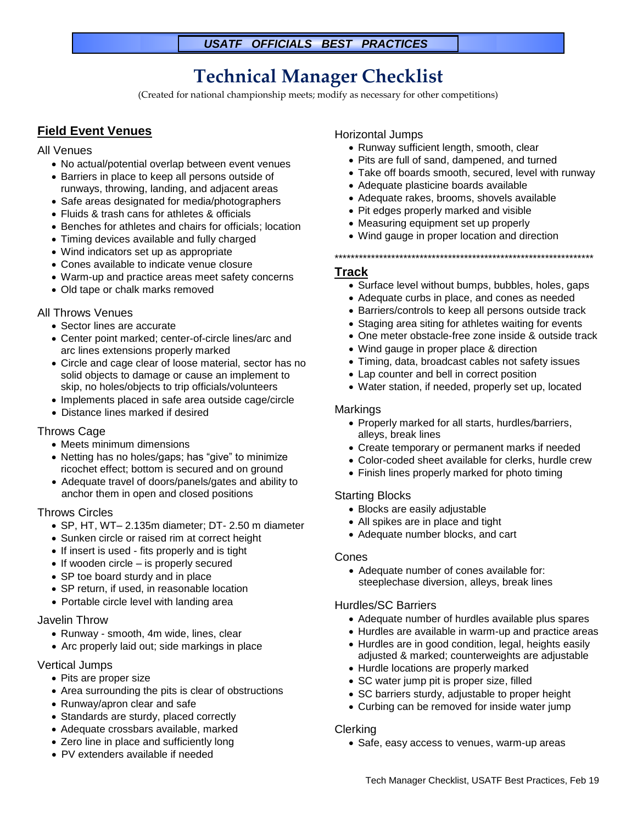### *USATF OFFICIALS BEST PRACTICES*

# **Technical Manager Checklist**

(Created for national championship meets; modify as necessary for other competitions)

# **Field Event Venues**

#### All Venues

- No actual/potential overlap between event venues
- Barriers in place to keep all persons outside of runways, throwing, landing, and adjacent areas
- Safe areas designated for media/photographers
- Fluids & trash cans for athletes & officials
- Benches for athletes and chairs for officials; location
- Timing devices available and fully charged
- Wind indicators set up as appropriate
- Cones available to indicate venue closure
- Warm-up and practice areas meet safety concerns
- Old tape or chalk marks removed

#### All Throws Venues

- Sector lines are accurate
- Center point marked; center-of-circle lines/arc and arc lines extensions properly marked
- Circle and cage clear of loose material, sector has no solid objects to damage or cause an implement to skip, no holes/objects to trip officials/volunteers
- Implements placed in safe area outside cage/circle
- Distance lines marked if desired

#### Throws Cage

- Meets minimum dimensions
- Netting has no holes/gaps; has "give" to minimize ricochet effect; bottom is secured and on ground
- Adequate travel of doors/panels/gates and ability to anchor them in open and closed positions

#### Throws Circles

- SP, HT, WT– 2.135m diameter; DT- 2.50 m diameter
- Sunken circle or raised rim at correct height
- If insert is used fits properly and is tight
- If wooden circle is properly secured
- SP toe board sturdy and in place
- SP return, if used, in reasonable location
- Portable circle level with landing area

#### Javelin Throw

- Runway smooth, 4m wide, lines, clear
- Arc properly laid out; side markings in place

#### Vertical Jumps

- Pits are proper size
- Area surrounding the pits is clear of obstructions
- Runway/apron clear and safe
- Standards are sturdy, placed correctly
- Adequate crossbars available, marked
- Zero line in place and sufficiently long
- PV extenders available if needed

#### Horizontal Jumps

- Runway sufficient length, smooth, clear
- Pits are full of sand, dampened, and turned
- Take off boards smooth, secured, level with runway
- Adequate plasticine boards available
- Adequate rakes, brooms, shovels available
- Pit edges properly marked and visible
- Measuring equipment set up properly
- Wind gauge in proper location and direction

#### \*\*\*\*\*\*\*\*\*\*\*\*\*\*\*\*\*\*\*\*\*\*\*\*\*\*\*\*\*\*\*\*\*\*\*\*\*\*\*\*\*\*\*\*\*\*\*\*\*\*\*\*\*\*\*\*\*\*\*\*\*\*\*\*

#### **Track**

- Surface level without bumps, bubbles, holes, gaps
- Adequate curbs in place, and cones as needed
- Barriers/controls to keep all persons outside track
- Staging area siting for athletes waiting for events
- One meter obstacle-free zone inside & outside track
- Wind gauge in proper place & direction
- Timing, data, broadcast cables not safety issues
- Lap counter and bell in correct position
- Water station, if needed, properly set up, located

#### Markings

- Properly marked for all starts, hurdles/barriers, alleys, break lines
- Create temporary or permanent marks if needed
- Color-coded sheet available for clerks, hurdle crew
- Finish lines properly marked for photo timing

#### Starting Blocks

- Blocks are easily adjustable
- All spikes are in place and tight
- Adequate number blocks, and cart

#### Cones

• Adequate number of cones available for: steeplechase diversion, alleys, break lines

#### Hurdles/SC Barriers

- Adequate number of hurdles available plus spares
- Hurdles are available in warm-up and practice areas
- Hurdles are in good condition, legal, heights easily adjusted & marked; counterweights are adjustable
- Hurdle locations are properly marked
- SC water jump pit is proper size, filled
- SC barriers sturdy, adjustable to proper height
- Curbing can be removed for inside water jump

#### Clerking

• Safe, easy access to venues, warm-up areas